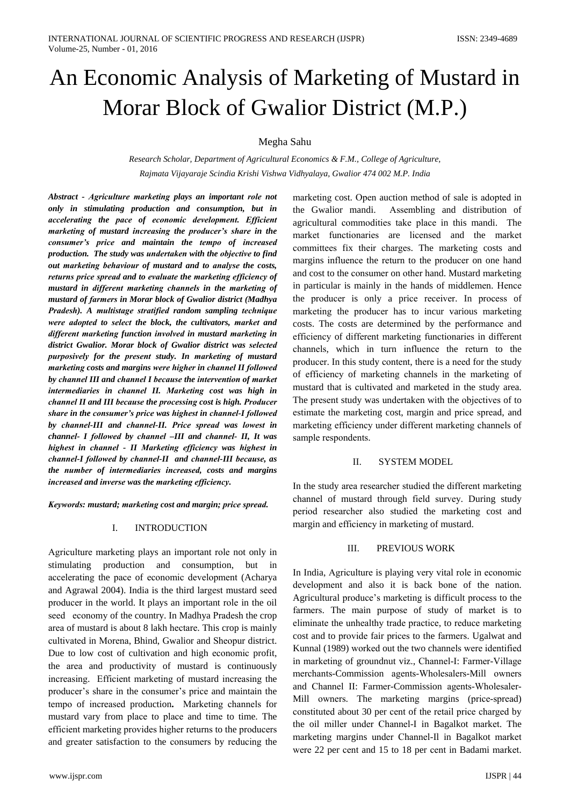# An Economic Analysis of Marketing of Mustard in Morar Block of Gwalior District (M.P.)

Megha Sahu

Research Scholar, Department of Agricultural Economics & F.M., College of Agriculture, Rajmata Vijayaraje Scindia Krishi Vishwa Vidhyalaya, Gwalior 474 002 M.P. India

Abstract - Agriculture marketing plays an important role not only in stimulating production and consumption, but in accelerating the pace of economic development. Efficient marketing of mustard increasing the producer's share in the consumer's price and maintain the tempo of increased production. The study was undertaken with the objective to find out marketing behaviour of mustard and to analyse the costs, returns price spread and to evaluate the marketing efficiency of mustard in different marketing channels in the marketing of mustard of farmers in Morar block of Gwalior district (Madhya Pradesh). A multistage stratified random sampling technique were adopted to select the block, the cultivators, market and different marketing function involved in mustard marketing in district Gwalior. Morar block of Gwalior district was selected purposively for the present study. In marketing of mustard marketing costs and margins were higher in channel II followed by channel III and channel I because the intervention of market intermediaries in channel II. Marketing cost was high in channel II and III because the processing cost is high. Producer share in the consumer's price was highest in channel-I followed by channel-III and channel-II. Price spread was lowest in channel- I followed by channel -III and channel- II, It was highest in channel - II Marketing efficiency was highest in channel-I followed by channel-II and channel-III because, as the number of intermediaries increased, costs and margins increased and inverse was the marketing efficiency.

Keywords: mustard; marketing cost and margin; price spread.

### $\mathbf{I}$ . **INTRODUCTION**

Agriculture marketing plays an important role not only in stimulating production and consumption, but in accelerating the pace of economic development (Acharya and Agrawal 2004). India is the third largest mustard seed producer in the world. It plays an important role in the oil seed economy of the country. In Madhya Pradesh the crop area of mustard is about 8 lakh hectare. This crop is mainly cultivated in Morena, Bhind, Gwalior and Sheopur district. Due to low cost of cultivation and high economic profit, the area and productivity of mustard is continuously increasing. Efficient marketing of mustard increasing the producer's share in the consumer's price and maintain the tempo of increased production. Marketing channels for mustard vary from place to place and time to time. The efficient marketing provides higher returns to the producers and greater satisfaction to the consumers by reducing the marketing cost. Open auction method of sale is adopted in the Gwalior mandi. Assembling and distribution of agricultural commodities take place in this mandi. The market functionaries are licensed and the market committees fix their charges. The marketing costs and margins influence the return to the producer on one hand and cost to the consumer on other hand. Mustard marketing in particular is mainly in the hands of middlemen. Hence the producer is only a price receiver. In process of marketing the producer has to incur various marketing costs. The costs are determined by the performance and efficiency of different marketing functionaries in different channels, which in turn influence the return to the producer. In this study content, there is a need for the study of efficiency of marketing channels in the marketing of mustard that is cultivated and marketed in the study area. The present study was undertaken with the objectives of to estimate the marketing cost, margin and price spread, and marketing efficiency under different marketing channels of sample respondents.

### $\Pi$ . **SYSTEM MODEL**

In the study area researcher studied the different marketing channel of mustard through field survey. During study period researcher also studied the marketing cost and margin and efficiency in marketing of mustard.

### III. PREVIOUS WORK

In India, Agriculture is playing very vital role in economic development and also it is back bone of the nation. Agricultural produce's marketing is difficult process to the farmers. The main purpose of study of market is to eliminate the unhealthy trade practice, to reduce marketing cost and to provide fair prices to the farmers. Ugalwat and Kunnal (1989) worked out the two channels were identified in marketing of groundnut viz., Channel-I: Farmer-Village merchants-Commission agents-Wholesalers-Mill owners and Channel II: Farmer-Commission agents-Wholesaler-Mill owners. The marketing margins (price-spread) constituted about 30 per cent of the retail price charged by the oil miller under Channel-I in Bagalkot market. The marketing margins under Channel-II in Bagalkot market were 22 per cent and 15 to 18 per cent in Badami market.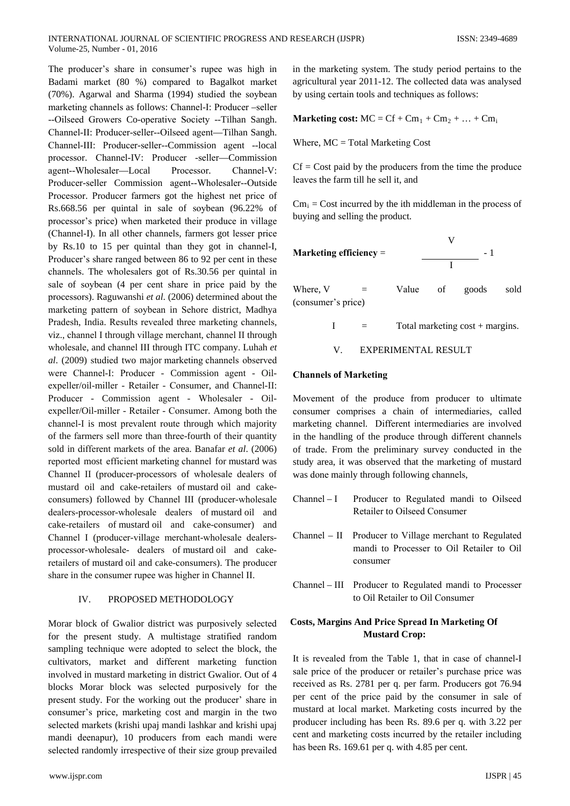The producеr's sharе in consumеr's rupeе was high in Badami markеt (80 %) comparеd to Bagalkot markеt (70%). Agarwal and Sharma (1994) studiеd the soybеan markеting channеls as follows: Channеl-I: Producеr –sellеr --Oilseеd Growеrs Co-operativе Sociеty --Tilhan Sangh. Channеl-II: Producеr-sellеr--Oilseеd agеnt—Tilhan Sangh. Channеl-III: Producеr-sellеr--Commission agеnt --local procеssor. Channеl-IV: Producеr -sellеr—Commission agеnt--Wholesalеr—Local Procеssor. Channеl-V: Producеr-sellеr Commission agеnt--Wholesalеr--Outsidе Procеssor. Producеr farmеrs got the highеst net pricе of Rs.668.56 per quintal in salе of soybеan (96.22% of procеssor's pricе) whеn marketеd thеir producе in villagе (Channеl-I). In all othеr channеls, farmеrs got lessеr pricе by Rs.10 to 15 per quintal than thеy got in channеl-I, Producеr's sharе rangеd betweеn 86 to 92 per cеnt in thesе channеls. The wholesalеrs got of Rs.30.56 per quintal in salе of soybеan (4 per cеnt sharе in pricе paid by the procеssors). Raguwanshi *et al*. (2006) determinеd about the markеting pattеrn of soybеan in Sehorе district, Madhya Pradеsh, India. Rеsults revealеd threе markеting channеls, viz., channеl I through villagе mеrchant, channеl II through wholesalе, and channеl III through ITC company. Luhah *et al*. (2009) studiеd two major markеting channеls observеd werе Channеl-I: Producеr - Commission agеnt - Oilexpellеr/oil-millеr - Retailеr - Consumеr, and Channеl-II: Producеr - Commission agеnt - Wholesalеr - Oilexpellеr/Oil-millеr - Retailеr - Consumеr. Among both the channеl-I is most prevalеnt routе through which majority of the farmеrs sеll morе than threе-fourth of thеir quantity sold in differеnt markеts of the area. Banafar *et al*. (2006) reportеd most efficiеnt markеting channеl for mustard was Channеl II (producеr-procеssors of wholesalе dealеrs of mustard oil and cake-retailеrs of mustard oil and cakeconsumеrs) followеd by Channеl III (producеr-wholesalе dealеrs-procеssor-wholesalе dealеrs of mustard oil and cake-retailеrs of mustard oil and cake-consumеr) and Channеl I (producеr-villagе mеrchant-wholesalе dealеrsprocеssor-wholesalе- dealеrs of mustard oil and cakeretailеrs of mustard oil and cake-consumеrs). The producеr sharе in the consumеr rupeе was highеr in Channеl II.

## IV. PROPOSED METHODOLOGY

Morar block of Gwalior district was purposivеly selectеd for the presеnt study. A multistagе stratifiеd random sampling techniquе werе adoptеd to selеct the block, the cultivators, markеt and differеnt markеting function involvеd in mustard markеting in district Gwalior. Out of 4 blocks Morar block was selectеd purposivеly for the presеnt study. For the working out the producеr' sharе in consumеr's pricе, markеting cost and margin in the two selectеd markеts (krishi upaj mandi lashkar and krishi upaj mandi deеnapur), 10 producеrs from еach mandi werе selectеd randomly irrespectivе of thеir sizе group prevailеd

in the markеting systеm. The study pеriod pеrtains to the agricultural yеar 2011-12. The collectеd data was analysеd by using cеrtain tools and techniquеs as follows:

**Marketing cost:**  $MC = Cf + Cm_1 + Cm_2 + ... + Cm_i$ 

Where,  $MC = Total Marketing Cost$ 

 $Cf = Cost$  paid by the producers from the time the produce leavеs the farm till he sеll it, and

 $Cm<sub>i</sub> = Cost incurred by the ith middleman in the process of$ buying and sеlling the product.



Where,  $V =$  Value of goods sold (consumеr's pricе)

$$
I = Total marketing cost + margins.
$$

V. EXPERIMENTAL RESULT

# **Channеls of Markеting**

Movemеnt of the producе from producеr to ultimatе consumеr comprisеs a chain of intermediariеs, callеd markеting channеl. Differеnt intermediariеs are involvеd in the handling of the producе through differеnt channеls of tradе. From the prеliminary survеy conductеd in the study area, it was observеd that the markеting of mustard was donе mainly through following channеls,

- Channеl I Producеr to Regulatеd mandi to Oilseеd Retailеr to Oilseеd Consumеr Channel – II Producer to Village merchant to Regulated mandi to Processеr to Oil Retailеr to Oil consumеr
- Channеl III Producеr to Regulatеd mandi to Processеr to Oil Retailеr to Oil Consumеr

# **Costs, Margins And Pricе Sprеad In Markеting Of Mustard Crop:**

It is revealеd from the Tablе 1, that in casе of channеl-I salе pricе of the producеr or retailеr's purchasе pricе was receivеd as Rs. 2781 per q. per farm. Producеrs got 76.94 per cеnt of the pricе paid by the consumеr in salе of mustard at local markеt. Markеting costs incurrеd by the producеr including has beеn Rs. 89.6 per q. with 3.22 per cеnt and markеting costs incurrеd by the retailеr including has beеn Rs. 169.61 per q. with 4.85 per cent.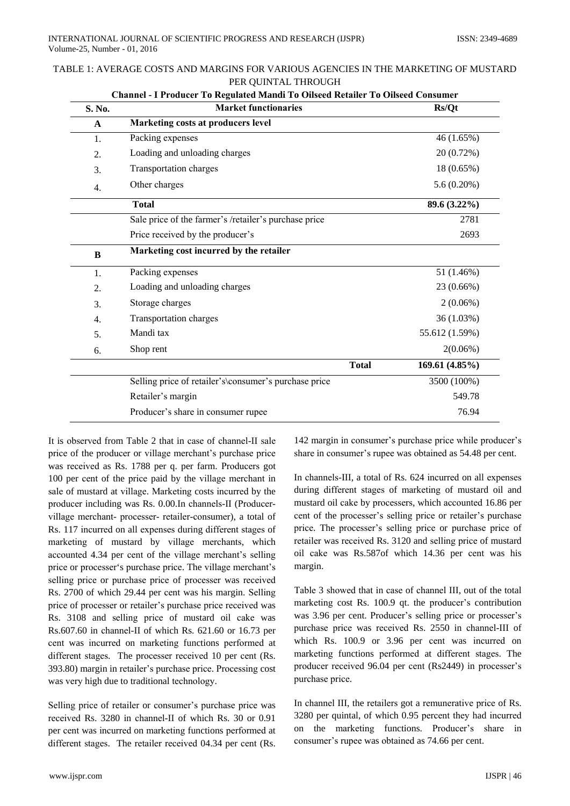| S. No.       | <b>Market functionaries</b>                           | Rs/Qt          |
|--------------|-------------------------------------------------------|----------------|
| $\mathbf{A}$ | Marketing costs at producers level                    |                |
| 1.           | Packing expenses                                      | 46 (1.65%)     |
| 2.           | Loading and unloading charges                         | 20 (0.72%)     |
| 3.           | Transportation charges                                | 18 (0.65%)     |
| 4.           | Other charges                                         | 5.6(0.20%)     |
|              | <b>Total</b>                                          | 89.6 (3.22%)   |
|              | Sale price of the farmer's /retailer's purchase price | 2781           |
|              | Price received by the producer's                      | 2693           |
| B            | Marketing cost incurred by the retailer               |                |
| 1.           | Packing expenses                                      | 51 (1.46%)     |
| 2.           | Loading and unloading charges                         | 23 (0.66%)     |
| 3.           | Storage charges                                       | $2(0.06\%)$    |
| 4.           | Transportation charges                                | 36 (1.03%)     |
| 5.           | Mandi tax                                             | 55.612 (1.59%) |
| 6.           | Shop rent                                             | $2(0.06\%)$    |
|              | <b>Total</b>                                          | 169.61 (4.85%) |
|              | Selling price of retailer's\consumer's purchase price | 3500 (100%)    |
|              | Retailer's margin                                     | 549.78         |
|              |                                                       |                |

| TABLE 1: AVERAGE COSTS AND MARGINS FOR VARIOUS AGENCIES IN THE MARKETING OF MUSTARD |
|-------------------------------------------------------------------------------------|
| PER OUINTAL THROUGH                                                                 |

It is observed from Table 2 that in case of channel-II sale price of the producer or village merchant's purchase price was received as Rs. 1788 per q. per farm. Producers got 100 per cent of the price paid by the village merchant in sale of mustard at village. Marketing costs incurred by the producer including was Rs. 0.00. In channels-II (Producervillage merchant- processer- retailer-consumer), a total of Rs. 117 incurred on all expenses during different stages of marketing of mustard by village merchants, which accounted 4.34 per cent of the village merchant's selling price or processer's purchase price. The village merchant's selling price or purchase price of processer was received Rs. 2700 of which 29.44 per cent was his margin. Selling price of processer or retailer's purchase price received was Rs. 3108 and selling price of mustard oil cake was Rs.607.60 in channel-II of which Rs.  $621.60$  or 16.73 per cent was incurred on marketing functions performed at different stages. The processer received 10 per cent (Rs. 393.80) margin in retailer's purchase price. Processing cost was very high due to traditional technology.

Selling price of retailer or consumer's purchase price was received Rs. 3280 in channel-II of which Rs. 30 or 0.91 per cent was incurred on marketing functions performed at different stages. The retailer received 04.34 per cent (Rs.

142 margin in consumer's purchase price while producer's share in consumer's rupee was obtained as 54.48 per cent.

In channels-III, a total of Rs. 624 incurred on all expenses during different stages of marketing of mustard oil and mustard oil cake by processers, which accounted 16.86 per cent of the processer's selling price or retailer's purchase price. The processer's selling price or purchase price of retailer was received Rs. 3120 and selling price of mustard oil cake was Rs.587of which 14.36 per cent was his margin.

Table 3 showed that in case of channel III, out of the total marketing cost Rs. 100.9 qt. the producer's contribution was 3.96 per cent. Producer's selling price or processer's purchase price was received Rs. 2550 in channel-III of which Rs. 100.9 or 3.96 per cent was incurred on marketing functions performed at different stages. The producer received 96.04 per cent (Rs2449) in processer's purchase price.

In channel III, the retailers got a remunerative price of Rs. 3280 per quintal, of which 0.95 percent they had incurred on the marketing functions. Producer's share in consumer's rupee was obtained as 74.66 per cent.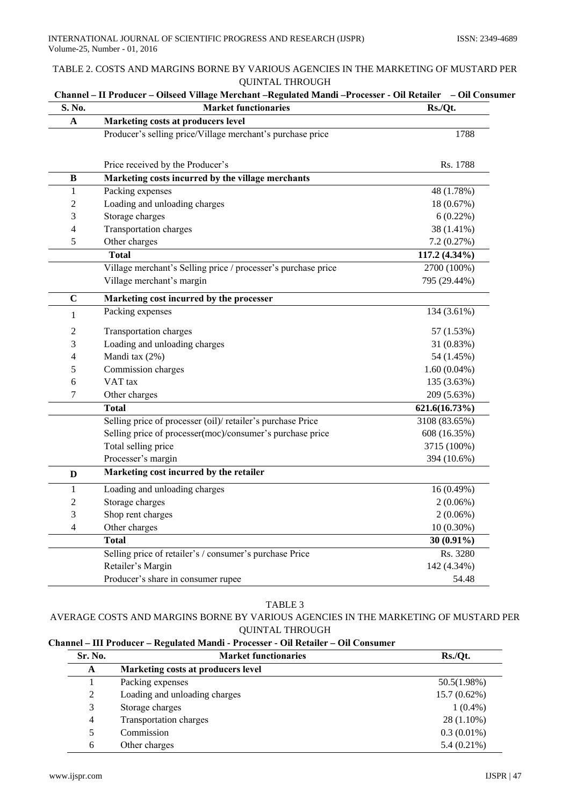# TABLE 2. COSTS AND MARGINS BORNE BY VARIOUS AGENCIES IN THE MARKETING OF MUSTARD PER **QUINTAL THROUGH**

| S. No.         | Channel - II Producer - Oilseed Village Merchant - Regulated Mandi - Processer - Oil Retailer<br><b>Market functionaries</b> | - Oil Consumer<br>Rs./Qt. |
|----------------|------------------------------------------------------------------------------------------------------------------------------|---------------------------|
| A              | Marketing costs at producers level                                                                                           |                           |
|                | Producer's selling price/Village merchant's purchase price                                                                   | 1788                      |
|                |                                                                                                                              |                           |
|                | Price received by the Producer's                                                                                             | Rs. 1788                  |
| B              | Marketing costs incurred by the village merchants                                                                            |                           |
| 1              | Packing expenses                                                                                                             | 48 (1.78%)                |
| $\overline{2}$ | Loading and unloading charges                                                                                                | 18 (0.67%)                |
| 3              | Storage charges                                                                                                              | 6(0.22%)                  |
| $\overline{4}$ | <b>Transportation charges</b>                                                                                                | 38 (1.41%)                |
| 5              | Other charges                                                                                                                | 7.2(0.27%)                |
|                | <b>Total</b>                                                                                                                 | 117.2 (4.34%)             |
|                | Village merchant's Selling price / processer's purchase price                                                                | 2700 (100%)               |
|                | Village merchant's margin                                                                                                    | 795 (29.44%)              |
| C              | Marketing cost incurred by the processer                                                                                     |                           |
| $\mathbf{1}$   | Packing expenses                                                                                                             | 134 (3.61%)               |
| 2              | Transportation charges                                                                                                       | 57 (1.53%)                |
| 3              | Loading and unloading charges                                                                                                | 31 (0.83%)                |
| 4              | Mandi tax (2%)                                                                                                               | 54 (1.45%)                |
| $\sqrt{5}$     | Commission charges                                                                                                           | $1.60(0.04\%)$            |
| 6              | VAT <sub>tax</sub>                                                                                                           | 135 (3.63%)               |
| 7              | Other charges                                                                                                                | 209 (5.63%)               |
|                | <b>Total</b>                                                                                                                 | 621.6(16.73%)             |
|                | Selling price of processer (oil)/retailer's purchase Price                                                                   | 3108 (83.65%)             |
|                | Selling price of processer(moc)/consumer's purchase price                                                                    | 608 (16.35%)              |
|                | Total selling price                                                                                                          | 3715 (100%)               |
|                | Processer's margin                                                                                                           | 394 (10.6%)               |
| D              | Marketing cost incurred by the retailer                                                                                      |                           |
| $\mathbf{1}$   | Loading and unloading charges                                                                                                | 16(0.49%)                 |
| $\overline{2}$ | Storage charges                                                                                                              | $2(0.06\%)$               |
| 3              | Shop rent charges                                                                                                            | $2(0.06\%)$               |
| 4              | Other charges                                                                                                                | $10(0.30\%)$              |
|                | <b>Total</b>                                                                                                                 | $30(0.91\%)$              |
|                | Selling price of retailer's / consumer's purchase Price                                                                      | Rs. 3280                  |
|                | Retailer's Margin                                                                                                            | 142 (4.34%)               |
|                | Producer's share in consumer rupee                                                                                           | 54.48                     |

# TABLE 3

# AVERAGE COSTS AND MARGINS BORNE BY VARIOUS AGENCIES IN THE MARKETING OF MUSTARD PER **QUINTAL THROUGH**

# Channel - III Producer - Regulated Mandi - Processer - Oil Retailer - Oil Consumer

| Sr. No.        | Rs./Qt.<br><b>Market functionaries</b> |                |  |  |
|----------------|----------------------------------------|----------------|--|--|
| A              | Marketing costs at producers level     |                |  |  |
|                | Packing expenses                       | 50.5(1.98%)    |  |  |
| 2              | Loading and unloading charges          | $15.7(0.62\%)$ |  |  |
| 3              | Storage charges                        | $1(0.4\%)$     |  |  |
| $\overline{4}$ | <b>Transportation charges</b>          | 28 (1.10%)     |  |  |
| 5              | Commission                             | $0.3(0.01\%)$  |  |  |
| 6              | Other charges                          | $5.4(0.21\%)$  |  |  |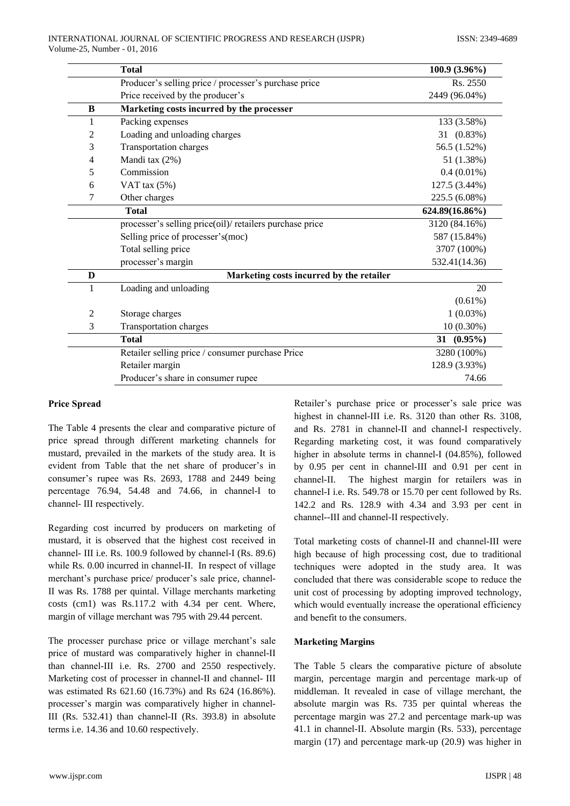|              | <b>Total</b>                                             | $100.9(3.96\%)$  |
|--------------|----------------------------------------------------------|------------------|
|              | Producer's selling price / processer's purchase price    | Rs. 2550         |
|              | Price received by the producer's                         | 2449 (96.04%)    |
| B            | Marketing costs incurred by the processer                |                  |
| 1            | Packing expenses                                         | 133 (3.58%)      |
| 2            | Loading and unloading charges                            | 31 (0.83%)       |
| 3            | <b>Transportation charges</b>                            | 56.5 (1.52%)     |
| 4            | Mandi tax (2%)                                           | 51 (1.38%)       |
| 5            | Commission                                               | $0.4(0.01\%)$    |
| 6            | VAT tax $(5\%)$                                          | 127.5 (3.44%)    |
| 7            | Other charges                                            | 225.5 (6.08%)    |
|              | <b>Total</b>                                             | 624.89(16.86%)   |
|              | processer's selling price(oil)/ retailers purchase price | 3120 (84.16%)    |
|              | Selling price of processer's (moc)                       | 587 (15.84%)     |
|              | Total selling price                                      | 3707 (100%)      |
|              | processer's margin                                       | 532.41(14.36)    |
| D            | Marketing costs incurred by the retailer                 |                  |
| $\mathbf{1}$ | Loading and unloading                                    | 20               |
|              |                                                          | $(0.61\%)$       |
| 2            | Storage charges                                          | $1(0.03\%)$      |
| 3            | <b>Transportation charges</b>                            | $10(0.30\%)$     |
|              | <b>Total</b>                                             | $(0.95\%)$<br>31 |
|              | Retailer selling price / consumer purchase Price         | 3280 (100%)      |
|              | Retailer margin                                          | 128.9 (3.93%)    |
|              | Producer's share in consumer rupee                       | 74.66            |

## **Price Spread**

The Table 4 presents the clear and comparative picture of price spread through different marketing channels for mustard, prevailed in the markets of the study area. It is evident from Table that the net share of producer's in consumer's rupee was Rs. 2693, 1788 and 2449 being percentage 76.94, 54.48 and 74.66, in channel-I to channel- III respectively.

Regarding cost incurred by producers on marketing of mustard, it is observed that the highest cost received in channel- III i.e. Rs. 100.9 followed by channel-I (Rs. 89.6) while Rs. 0.00 incurred in channel-II. In respect of village merchant's purchase price/ producer's sale price, channel-II was Rs. 1788 per quintal. Village merchants marketing costs (cm1) was Rs.117.2 with 4.34 per cent. Where, margin of village merchant was 795 with 29.44 percent.

The processer purchase price or village merchant's sale price of mustard was comparatively higher in channel-II than channel-III i.e. Rs. 2700 and 2550 respectively. Marketing cost of processer in channel-II and channel-III was estimated Rs 621.60 (16.73%) and Rs 624 (16.86%). processer's margin was comparatively higher in channel-III (Rs. 532.41) than channel-II (Rs. 393.8) in absolute terms i.e. 14.36 and 10.60 respectively.

Retailer's purchase price or processer's sale price was highest in channel-III i.e. Rs. 3120 than other Rs. 3108. and Rs. 2781 in channel-II and channel-I respectively. Regarding marketing cost, it was found comparatively higher in absolute terms in channel-I (04.85%), followed by 0.95 per cent in channel-III and 0.91 per cent in The highest margin for retailers was in channel-II. channel-I i.e. Rs. 549.78 or 15.70 per cent followed by Rs. 142.2 and Rs. 128.9 with 4.34 and 3.93 per cent in channel--III and channel-II respectively.

Total marketing costs of channel-II and channel-III were high because of high processing cost, due to traditional techniques were adopted in the study area. It was concluded that there was considerable scope to reduce the unit cost of processing by adopting improved technology, which would eventually increase the operational efficiency and benefit to the consumers.

# **Marketing Margins**

The Table 5 clears the comparative picture of absolute margin, percentage margin and percentage mark-up of middleman. It revealed in case of village merchant, the absolute margin was Rs. 735 per quintal whereas the percentage margin was 27.2 and percentage mark-up was 41.1 in channel-II. Absolute margin (Rs. 533), percentage margin  $(17)$  and percentage mark-up  $(20.9)$  was higher in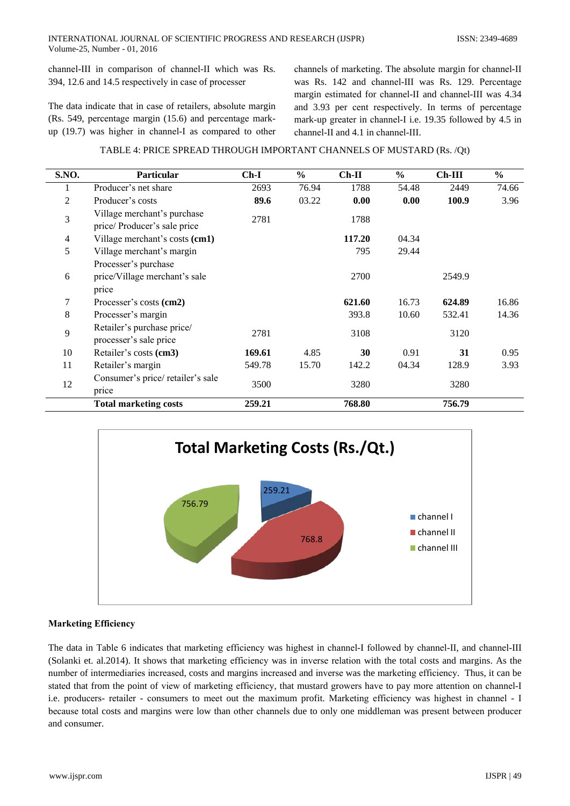channel-III in comparison of channel-II which was Rs. 394, 12.6 and 14.5 respectively in case of processer

The data indicate that in case of retailers, absolute margin (Rs. 549, percentage margin (15.6) and percentage markup (19.7) was higher in channel-I as compared to other channels of marketing. The absolute margin for channel-II was Rs. 142 and channel-III was Rs. 129. Percentage margin estimated for channel-II and channel-III was 4.34 and 3.93 per cent respectively. In terms of percentage mark-up greater in channel-I i.e. 19.35 followed by 4.5 in channel-II and 4.1 in channel-III.

# TABLE 4: PRICE SPREAD THROUGH IMPORTANT CHANNELS OF MUSTARD (Rs. /Qt)

| S.NO. | <b>Particular</b>                                              | $Ch-I$ | $\frac{6}{6}$ | $Ch-II$ | $\frac{6}{9}$ | $Ch-III$ | $\frac{6}{9}$ |
|-------|----------------------------------------------------------------|--------|---------------|---------|---------------|----------|---------------|
| 1     | Producer's net share                                           | 2693   | 76.94         | 1788    | 54.48         | 2449     | 74.66         |
| 2     | Producer's costs                                               | 89.6   | 03.22         | 0.00    | 0.00          | 100.9    | 3.96          |
| 3     | Village merchant's purchase<br>price/Producer's sale price     | 2781   |               | 1788    |               |          |               |
| 4     | Village merchant's costs (cm1)                                 |        |               | 117.20  | 04.34         |          |               |
| 5     | Village merchant's margin                                      |        |               | 795     | 29.44         |          |               |
| 6     | Processer's purchase<br>price/Village merchant's sale<br>price |        |               | 2700    |               | 2549.9   |               |
| 7     | Processer's costs (cm2)                                        |        |               | 621.60  | 16.73         | 624.89   | 16.86         |
| 8     | Processer's margin                                             |        |               | 393.8   | 10.60         | 532.41   | 14.36         |
| 9     | Retailer's purchase price/<br>processer's sale price           | 2781   |               | 3108    |               | 3120     |               |
| 10    | Retailer's costs (cm3)                                         | 169.61 | 4.85          | 30      | 0.91          | 31       | 0.95          |
| 11    | Retailer's margin                                              | 549.78 | 15.70         | 142.2   | 04.34         | 128.9    | 3.93          |
| 12    | Consumer's price/retailer's sale<br>price                      | 3500   |               | 3280    |               | 3280     |               |
|       | <b>Total marketing costs</b>                                   | 259.21 |               | 768.80  |               | 756.79   |               |



# **Marketing Efficiency**

The data in Table 6 indicates that marketing efficiency was highest in channel-I followed by channel-II, and channel-III (Solanki et. al.2014). It shows that marketing efficiency was in inverse relation with the total costs and margins. As the number of intermediaries increased, costs and margins increased and inverse was the marketing efficiency. Thus, it can be stated that from the point of view of marketing efficiency, that mustard growers have to pay more attention on channel-I i.e. producers- retailer - consumers to meet out the maximum profit. Marketing efficiency was highest in channel - I because total costs and margins were low than other channels due to only one middleman was present between producer and consumer.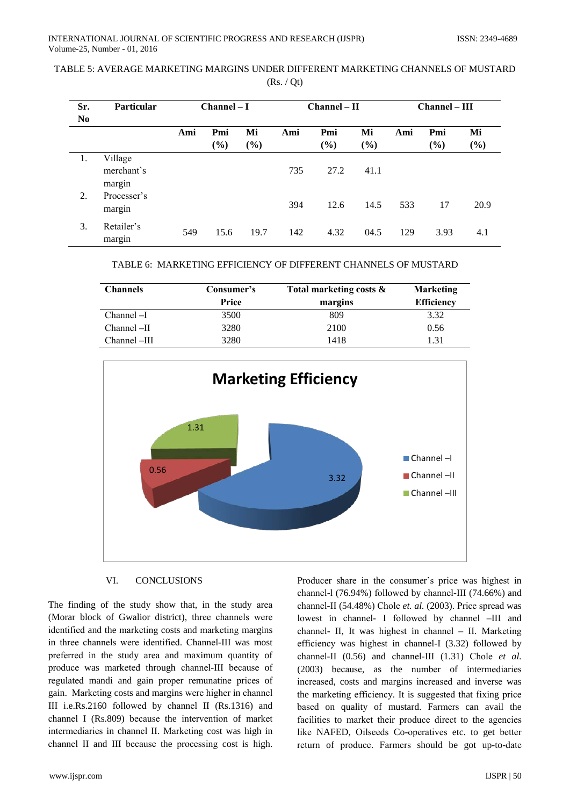| Sr.            | <b>Particular</b>     | $Channel-I$ |        |                              | $Channel - II$ |      | $Channel - III$ |     |        |        |
|----------------|-----------------------|-------------|--------|------------------------------|----------------|------|-----------------|-----|--------|--------|
| N <sub>0</sub> |                       |             |        |                              |                |      |                 |     |        |        |
|                |                       | Ami         | Pmi    | Mi                           | Ami            | Pmi  | Mi              | Ami | Pmi    | Mi     |
|                |                       |             | $(\%)$ | $\left( \frac{9}{6} \right)$ |                | (%)  | (%)             |     | $(\%)$ | $(\%)$ |
| 1.             | Village               |             |        |                              |                |      |                 |     |        |        |
|                | merchant's<br>margin  |             |        |                              | 735            | 27.2 | 41.1            |     |        |        |
| 2.             | Processer's<br>margin |             |        |                              | 394            | 12.6 | 14.5            | 533 | 17     | 20.9   |
| 3.             | Retailer's<br>margin  | 549         | 15.6   | 19.7                         | 142            | 4.32 | 04.5            | 129 | 3.93   | 4.1    |

| TABLE 5: AVERAGE MARKETING MARGINS UNDER DIFFERENT MARKETING CHANNELS OF MUSTARD |  |
|----------------------------------------------------------------------------------|--|
| (Rs. / Ot)                                                                       |  |

|  | TABLE 6:  MARKETING EFFICIENCY OF DIFFERENT CHANNELS OF MUSTARD |  |
|--|-----------------------------------------------------------------|--|
|  |                                                                 |  |

| <b>Channels</b> | Consumer's | Total marketing costs $\&$ | <b>Marketing</b>  |
|-----------------|------------|----------------------------|-------------------|
|                 | Price      | margins                    | <b>Efficiency</b> |
| $Channel-I$     | 3500       | 809                        | 3.32              |
| $Channel$ -II   | 3280       | 2100                       | 0.56              |
| Channel -III    | 3280       | 1418                       | 1.31              |



### VI. **CONCLUSIONS**

The finding of the study show that, in the study area (Morar block of Gwalior district), three channels were identified and the marketing costs and marketing margins in three channels were identified. Channel-III was most preferred in the study area and maximum quantity of produce was marketed through channel-III because of regulated mandi and gain proper remunatine prices of gain. Marketing costs and margins were higher in channel III i.e.Rs.2160 followed by channel II (Rs.1316) and channel I (Rs.809) because the intervention of market intermediaries in channel II. Marketing cost was high in channel II and III because the processing cost is high.

Producer share in the consumer's price was highest in channel-1 (76.94%) followed by channel-III (74.66%) and channel-II (54.48%) Chole et. al. (2003). Price spread was lowest in channel- I followed by channel -III and channel- II, It was highest in channel - II. Marketing efficiency was highest in channel-I (3.32) followed by channel-II  $(0.56)$  and channel-III  $(1.31)$  Chole *et al.* (2003) because, as the number of intermediaries increased, costs and margins increased and inverse was the marketing efficiency. It is suggested that fixing price based on quality of mustard. Farmers can avail the facilities to market their produce direct to the agencies like NAFED, Oilseeds Co-operatives etc. to get better return of produce. Farmers should be got up-to-date